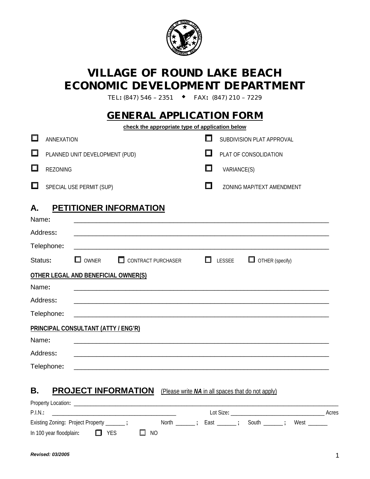

# **VILLAGE OF ROUND LAKE BEACH ECONOMIC DEVELOPMENT DEPARTMENT**

TEL**:** (847) 546 – 2351 FAX**:** (847) 210 – 7229

# **GENERAL APPLICATION FORM**

**check the appropriate type of application below**

|                                            | <b>ANNEXATION</b>                                                                 | П | SUBDIVISION PLAT APPROVAL                  |
|--------------------------------------------|-----------------------------------------------------------------------------------|---|--------------------------------------------|
| $\Box$                                     | PLANNED UNIT DEVELOPMENT (PUD)                                                    |   | PLAT OF CONSOLIDATION                      |
| $\Box$                                     | <b>REZONING</b>                                                                   |   | VARIANCE(S)                                |
| $\Box$                                     | SPECIAL USE PERMIT (SUP)                                                          |   | ZONING MAP/TEXT AMENDMENT                  |
| Α.<br>Name:                                | PETITIONER INFORMATION                                                            |   |                                            |
| Address:                                   |                                                                                   |   |                                            |
|                                            | Telephone:                                                                        |   |                                            |
| Status:                                    | $\Box$ OWNER<br>$\Box$ CONTRACT PURCHASER                                         |   | $\Box$ LESSEE<br>$\Box$<br>OTHER (specify) |
| <b>OTHER LEGAL AND BENEFICIAL OWNER(S)</b> |                                                                                   |   |                                            |
| Name:                                      |                                                                                   |   |                                            |
| Address:                                   |                                                                                   |   |                                            |
|                                            | Telephone:<br><u> 1989 - Johann Barbara, martxa alemaniar amerikan basar da a</u> |   |                                            |
| PRINCIPAL CONSULTANT (ATTY / ENG'R)        |                                                                                   |   |                                            |
| Name:                                      |                                                                                   |   |                                            |
| Address:                                   |                                                                                   |   |                                            |
|                                            | Telephone:                                                                        |   |                                            |

## **B.** PROJECT INFORMATION (Please write *NA* in all spaces that do not apply)

| Property Location:                        |                                       |       |
|-------------------------------------------|---------------------------------------|-------|
| P.I.N.:                                   | Lot Size:                             | Acres |
| Existing Zoning: Project Property ______; | <b>North</b><br>West<br>South<br>Last |       |
| $\Box$ YES<br>In 100 year floodplain:     | l no                                  |       |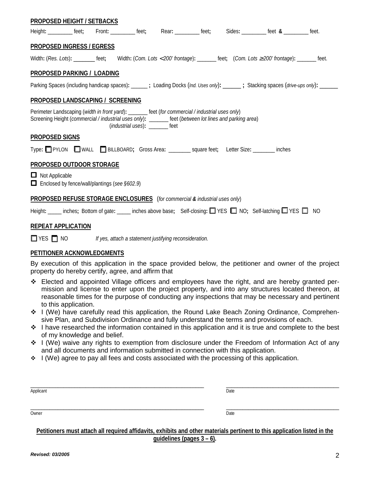| PROPOSED HEIGHT / SETBACKS                                                                                                                                                                                                                     |
|------------------------------------------------------------------------------------------------------------------------------------------------------------------------------------------------------------------------------------------------|
| Height: ________ feet; Front: ________ feet; Rear: _______ feet; Sides: _______ feet & _______ feet.                                                                                                                                           |
| <b>PROPOSED INGRESS / EGRESS</b>                                                                                                                                                                                                               |
| Width: (Res. Lots): _______ feet; Width: (Com. Lots < 200' frontage): ______ feet; (Com. Lots ≥ 200' frontage): ______ feet.                                                                                                                   |
| <b>PROPOSED PARKING / LOADING</b>                                                                                                                                                                                                              |
| Parking Spaces (including handicap spaces): _____; Loading Docks (Ind. Uses only): _____; Stacking spaces (drive-ups only): _____                                                                                                              |
| <b>PROPOSED LANDSCAPING / SCREENING</b>                                                                                                                                                                                                        |
| Perimeter Landscaping (width in front yard): ______ feet (for commercial / industrial uses only)<br>Screening Height (commercial / industrial uses only): ______ feet (between lot lines and parking area)<br>( <i>industrial uses</i> ): feet |
| <b>PROPOSED SIGNS</b>                                                                                                                                                                                                                          |
| Type: □ PYLON □ WALL □ BILLBOARD; Gross Area: ________ square feet; Letter Size: _______ inches                                                                                                                                                |
| PROPOSED OUTDOOR STORAGE                                                                                                                                                                                                                       |
| $\Box$ Not Applicable                                                                                                                                                                                                                          |
| $\Box$ Enclosed by fence/wall/plantings (see §602.9)                                                                                                                                                                                           |
| <b>PROPOSED REFUSE STORAGE ENCLOSURES</b> (for commercial & industrial uses only)                                                                                                                                                              |
| Height: _____ inches; Bottom of gate: _____ inches above base; Self-closing: □ YES □ NO; Self-latching □ YES □ NO                                                                                                                              |
| <b>REPEAT APPLICATION</b>                                                                                                                                                                                                                      |

**T** YES **n** NO *If yes, attach a statement justifying reconsideration.* 

#### **PETITIONER ACKNOWLEDGMENTS**

By execution of this application in the space provided below, the petitioner and owner of the project property do hereby certify, agree, and affirm that

- Elected and appointed Village officers and employees have the right, and are hereby granted permission and license to enter upon the project property, and into any structures located thereon, at reasonable times for the purpose of conducting any inspections that may be necessary and pertinent to this application.
- \* I (We) have carefully read this application, the Round Lake Beach Zoning Ordinance, Comprehensive Plan, and Subdivision Ordinance and fully understand the terms and provisions of each.
- $\cdot \cdot$  I have researched the information contained in this application and it is true and complete to the best of my knowledge and belief.
- \* I (We) waive any rights to exemption from disclosure under the Freedom of Information Act of any and all documents and information submitted in connection with this application.
- I (We) agree to pay all fees and costs associated with the processing of this application.

| Applicant | Date |
|-----------|------|
| Owner     | Date |

#### **Petitioners must attach all required affidavits, exhibits and other materials pertinent to this application listed in the guidelines (pages 3 – 6).**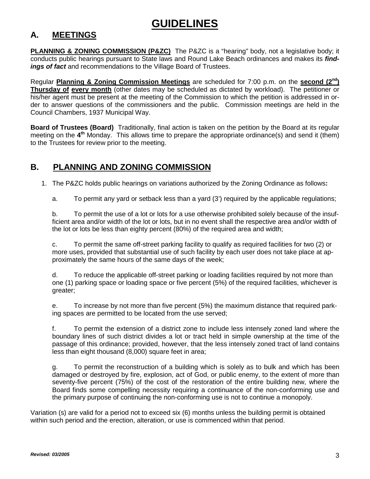# **GUIDELINES**

#### **A. MEETINGS**

**PLANNING & ZONING COMMISSION (P&ZC)** The P&ZC is a "hearing" body, not a legislative body; it conducts public hearings pursuant to State laws and Round Lake Beach ordinances and makes its *findings of fact* and recommendations to the Village Board of Trustees.

Regular **Planning & Zoning Commission Meetings** are scheduled for 7:00 p.m. on the **second (2nd) Thursday of every month** (other dates may be scheduled as dictated by workload). The petitioner or his/her agent must be present at the meeting of the Commission to which the petition is addressed in order to answer questions of the commissioners and the public. Commission meetings are held in the Council Chambers, 1937 Municipal Way.

**Board of Trustees (Board)** Traditionally, final action is taken on the petition by the Board at its regular meeting on the **4th** Monday. This allows time to prepare the appropriate ordinance(s) and send it (them) to the Trustees for review prior to the meeting.

#### **B. PLANNING AND ZONING COMMISSION**

1. The P&ZC holds public hearings on variations authorized by the Zoning Ordinance as follows**:**

a. To permit any yard or setback less than a yard (3') required by the applicable regulations;

b. To permit the use of a lot or lots for a use otherwise prohibited solely because of the insufficient area and/or width of the lot or lots, but in no event shall the respective area and/or width of the lot or lots be less than eighty percent (80%) of the required area and width;

c. To permit the same off-street parking facility to qualify as required facilities for two (2) or more uses, provided that substantial use of such facility by each user does not take place at approximately the same hours of the same days of the week;

d. To reduce the applicable off-street parking or loading facilities required by not more than one (1) parking space or loading space or five percent (5%) of the required facilities, whichever is greater;

e. To increase by not more than five percent (5%) the maximum distance that required parking spaces are permitted to be located from the use served;

f. To permit the extension of a district zone to include less intensely zoned land where the boundary lines of such district divides a lot or tract held in simple ownership at the time of the passage of this ordinance; provided, however, that the less intensely zoned tract of land contains less than eight thousand (8,000) square feet in area;

g. To permit the reconstruction of a building which is solely as to bulk and which has been damaged or destroyed by fire, explosion, act of God, or public enemy, to the extent of more than seventy-five percent (75%) of the cost of the restoration of the entire building new, where the Board finds some compelling necessity requiring a continuance of the non-conforming use and the primary purpose of continuing the non-conforming use is not to continue a monopoly.

Variation (s) are valid for a period not to exceed six (6) months unless the building permit is obtained within such period and the erection, alteration, or use is commenced within that period.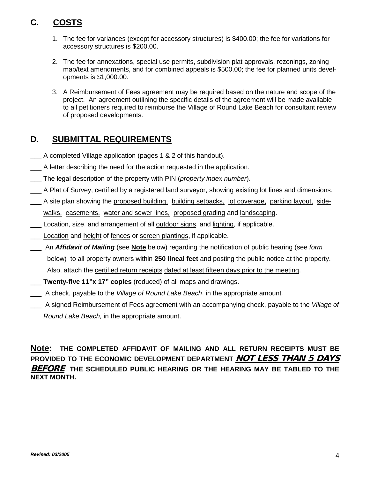# **C. COSTS**

- 1. The fee for variances (except for accessory structures) is \$400.00; the fee for variations for accessory structures is \$200.00.
- 2. The fee for annexations, special use permits, subdivision plat approvals, rezonings, zoning map/text amendments, and for combined appeals is \$500.00; the fee for planned units developments is \$1,000.00.
- 3. A Reimbursement of Fees agreement may be required based on the nature and scope of the project. An agreement outlining the specific details of the agreement will be made available to all petitioners required to reimburse the Village of Round Lake Beach for consultant review of proposed developments.

# **D. SUBMITTAL REQUIREMENTS**

- \_\_\_ A completed Village application (pages 1 & 2 of this handout).
- \_\_\_ A letter describing the need for the action requested in the application.
- \_\_\_ The legal description of the property with PIN (*property index number*).
- A Plat of Survey, certified by a registered land surveyor, showing existing lot lines and dimensions.
- \_\_\_ A site plan showing the proposed building, building setbacks, lot coverage, parking layout, side walks, easements, water and sewer lines, proposed grading and landscaping.
- \_\_\_ Location, size, and arrangement of all outdoor signs, and lighting, if applicable.
- Location and height of fences or screen plantings, if applicable.
- \_\_\_ An *Affidavit of Mailing* (see **Note** below) regarding the notification of public hearing (see *form* below) to all property owners within **250 lineal feet** and posting the public notice at the property. Also, attach the certified return receipts dated at least fifteen days prior to the meeting.
- \_\_\_ **Twenty-five 11"x 17" copies** (reduced) of all maps and drawings.
- \_\_\_ A check, payable to the *Village of Round Lake Beach*, in the appropriate amount*.*
- \_\_\_ A signed Reimbursement of Fees agreement with an accompanying check, payable to the *Village of Round Lake Beach,* in the appropriate amount.

**Note: THE COMPLETED AFFIDAVIT OF MAILING AND ALL RETURN RECEIPTS MUST BE PROVIDED TO THE ECONOMIC DEVELOPMENT DEPARTMENT NOT LESS THAN 5 DAYS BEFORE THE SCHEDULED PUBLIC HEARING OR THE HEARING MAY BE TABLED TO THE NEXT MONTH.**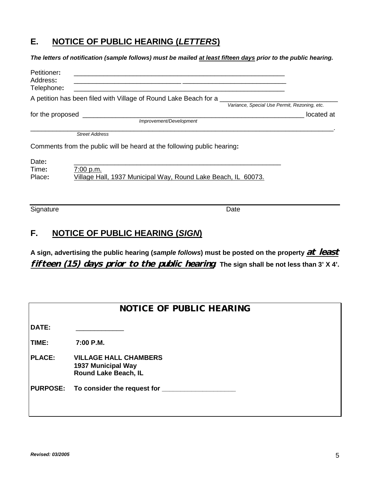## **E. NOTICE OF PUBLIC HEARING (***LETTERS***)**

*The letters of notification (sample follows) must be mailed at least fifteen days prior to the public hearing.* 

| Petitioner:<br>Address:<br>Telephone: |                                                                         |                                              |            |
|---------------------------------------|-------------------------------------------------------------------------|----------------------------------------------|------------|
|                                       | A petition has been filed with Village of Round Lake Beach for a        |                                              |            |
|                                       |                                                                         | Variance, Special Use Permit, Rezoning, etc. |            |
| for the proposed                      |                                                                         |                                              | located at |
|                                       | Improvement/Development                                                 |                                              |            |
|                                       | <b>Street Address</b>                                                   |                                              |            |
|                                       | Comments from the public will be heard at the following public hearing: |                                              |            |
| Date:                                 |                                                                         |                                              |            |
| Time:                                 | 7:00 p.m.                                                               |                                              |            |
| Place:                                | Village Hall, 1937 Municipal Way, Round Lake Beach, IL 60073.           |                                              |            |
|                                       |                                                                         |                                              |            |
|                                       |                                                                         |                                              |            |

Signature Date

#### **F. NOTICE OF PUBLIC HEARING (***SIGN***)**

**A sign, advertising the public hearing (***sample follows***) must be posted on the property at least fifteen (15) days prior to the public hearing. The sign shall be not less than 3' X 4'.** 

| <b>NOTICE OF PUBLIC HEARING</b> |                                                                                   |  |
|---------------------------------|-----------------------------------------------------------------------------------|--|
| DATE:                           |                                                                                   |  |
| TIME:                           | 7:00 P.M.                                                                         |  |
| <b>PLACE:</b>                   | <b>VILLAGE HALL CHAMBERS</b><br>1937 Municipal Way<br><b>Round Lake Beach, IL</b> |  |
|                                 |                                                                                   |  |
|                                 |                                                                                   |  |